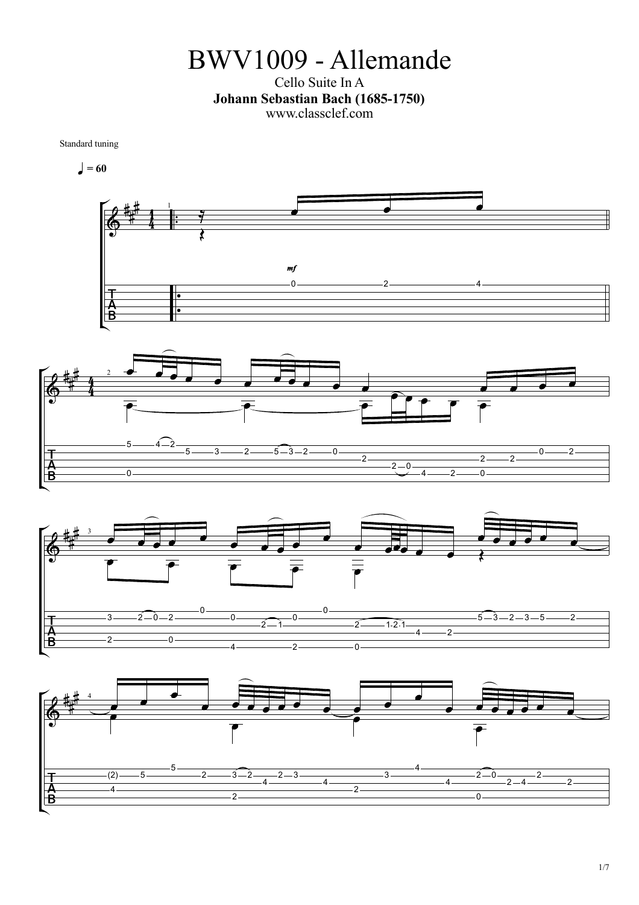BWV1009 - Allemande

Cello Suite In A **Johann Sebastian Bach (1685-1750)** www.classclef.com

Standard tuning

 $= 60$ 







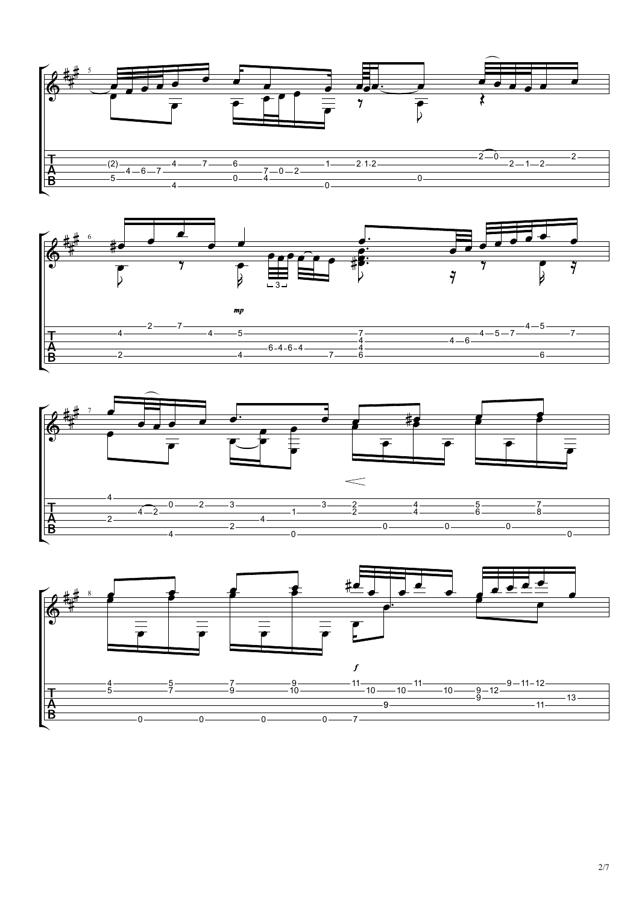





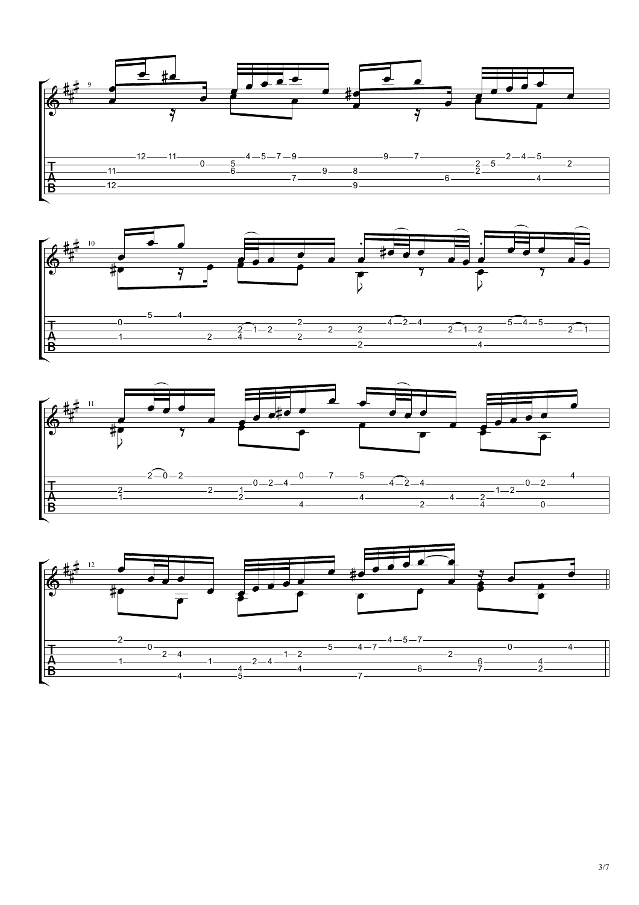





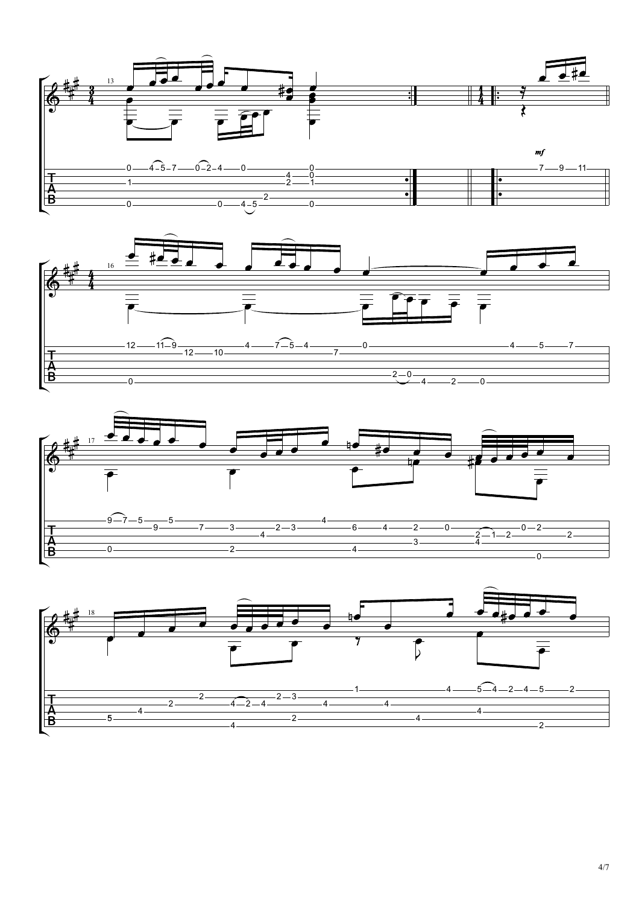





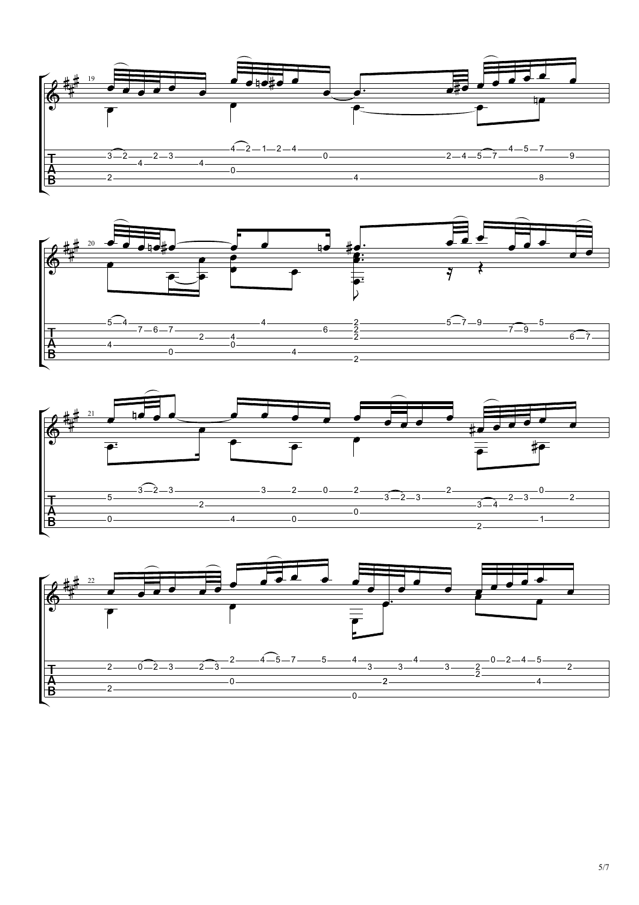





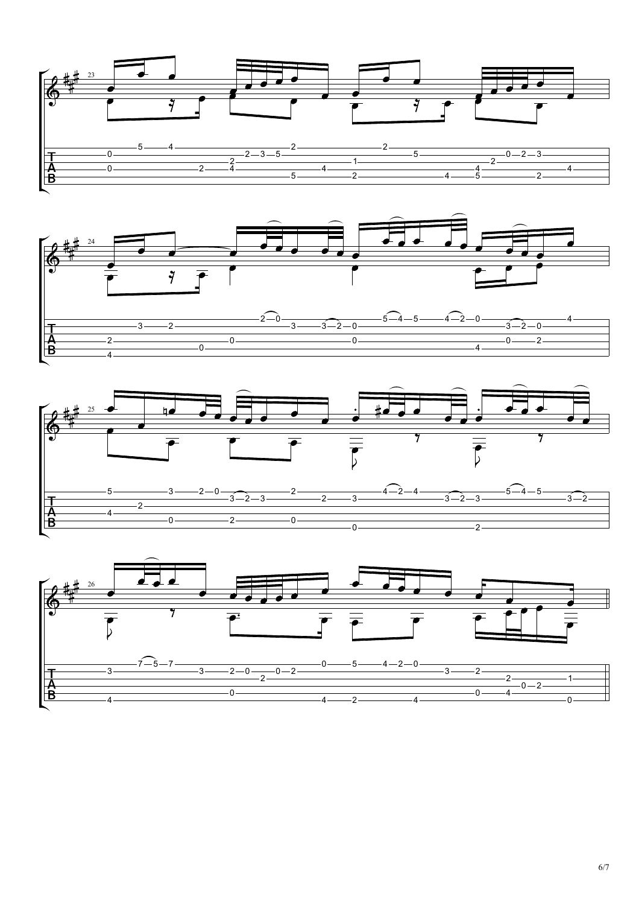